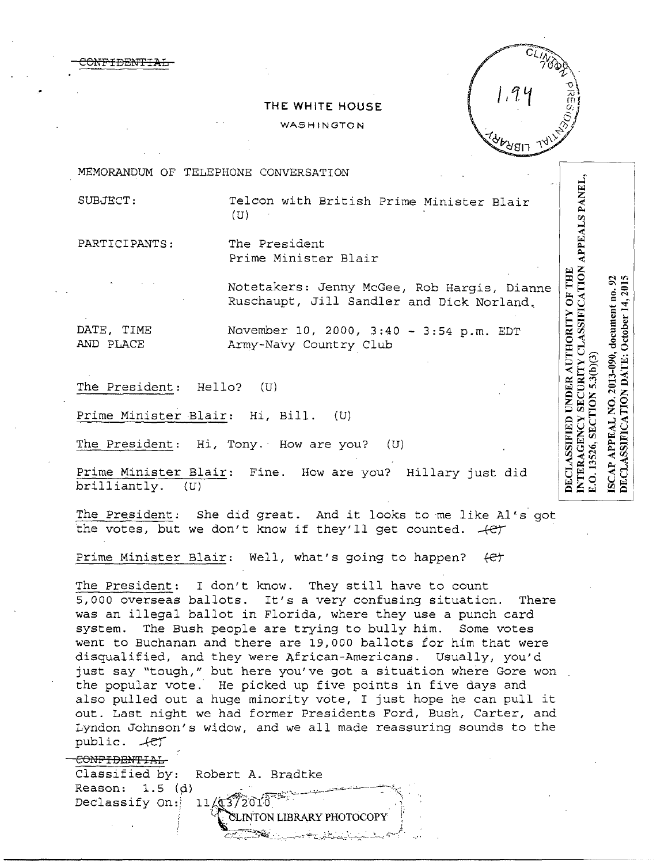CONFIDEN'fIAL



## **THE WHITE HOUSE**

WASHINGTON

MEMORANDUM OF TELEPHONE CONVERSATION

SUBJECT: Telcon with British Prime Minister Blair (U)

PARTICIPANTS: The President

Prime Minister Blair

Notetakers: Jenny McGee, Rob Hargis, Dianne Ruschaupt, Jill Sandler and Dick Norland.

DATE, TIME November 10, 2000, 3:40 - 3:54 p.m. EDT AND PLACE Army-Navy Country Club

The President: Hello? (U)

Prime Minister Blair: Hi, Bill. (U)

The President: Hi, Tony. How are you? (U)

Prime Minister Blair: Fine. How are you? Hillary just did brilliantly. (U)

The President: She did great. And it looks to me like Al's got the votes, but we don't know if they' 11 get counted. *-+er* 

Prime Minister Blair: Well, what's going to happen? (e)

The President: I don't know. They still have to count 5,000 overseas ballots. It's a very confusing situation. There was an illegal ballot in Florida, where they use a punch card system. The Bush people are trying to bully him. Some votes went to Buchanan and there are 19,000 ballots for him that were disqualified, and they were African-Americans. Usually, you'd just say "tough," but here you've got a situation where Gore won the popular vote. He picked up five points in five days and also pulled out a huge minority vote, I just hope he can pull it out. Last night we had former Presidents Ford, Bush, Carter, and Lyndon Johnson's widow, and we all made reassuring sounds to the public.  $+e\gamma$ 

#### CONFIDENTIAL-

Classified by: Robert A. Bradtke Reason:  $1.5$  (d) Declassify On:  $11/11/13/201$ 

> TON LIBRARY PHOTOCOP -:'.:.>o=;\_ ~~~;-----·...,,--~':: "'7'--.:'..-Ji:;...\_,:\_,,.::.,..\_~~,'"'- *..-'.'-----:* ,;-~--;

 $\frac{1}{2}$ 

ISCAP APPEAL NO. 2013-090, document no. 92<br>DECLASSIFICATION DATE: October 14, 2015 5.3(b)(3) SECTION E.O. 13526,

SECURITY CLASSIFICATION APPEALS PANEL,

DECLASSIFIED UNDER AUTHORITY OF THE

**INTERAGENCY**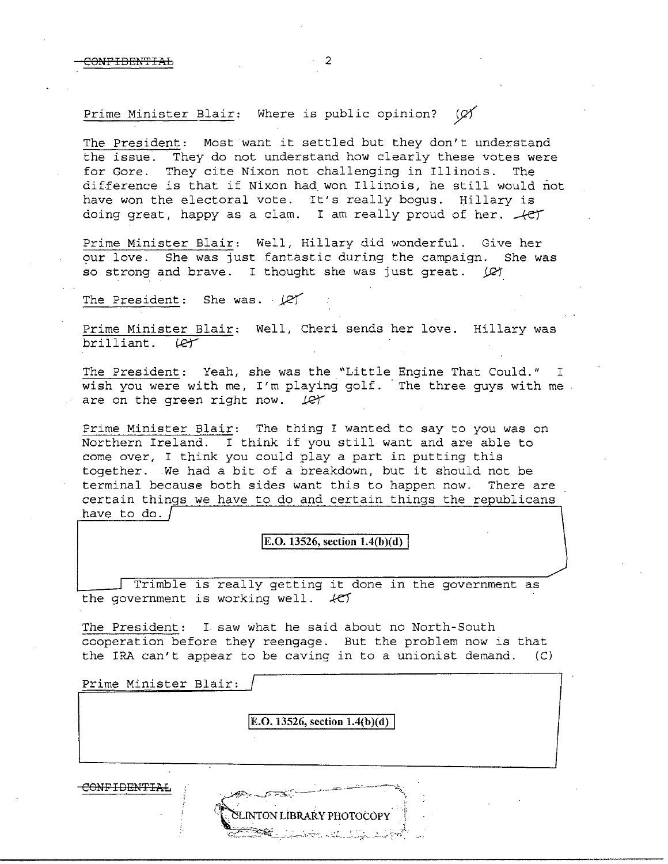# Prime Minister Blair: Where is public opinion?  $\varnothing$

The President: Most want it settled but they don't understand the issue. They do not understand how clearly these votes were for Gore. They cite Nixon not challenging in Illinois. The difference is that if Nixon had won Illinois, he still would not have won the electoral vote. It's really bogus. Hillary is doing great, happy as a clam. I am really proud of her.  $+e^+$ 

Prime Minister Blair: Well, Hillary did wonderful. Give her our love. She was just fantastic during the campaign. She was so strong and brave. I thought she was just great.  $\varnothing$ 

The President: She was. *I*er

Prime Minister Blair: Well, Cheri sends her love. Hillary was  $brit$ illiant.  $\ell$ er

The President: Yeah, she was the "Little Engine That Could." I wish you were with me, I'm playing golf. The three guys with me are on the green right now.  $\mathcal{L}$ 

Prime Minister Blair: The thing I wanted to say to you was on Northern Ireland. I think if you still want and are able to come over, I think you could play a part in putting this together. We had a bit of a breakdown, but it should not be terminal because both sides want this to happen now. There are certain things we have to do and certain things the republicans have to do.

### $E.O. 13526$ , section  $1.4(b)(d)$

Trimble is really getting it done in the government as the government is working well.  $+CT$ 

The President: I saw what he said about no North-South cooperation before they reengage. But the problem now is that the IRA can't appear to be caving in to a unionist demand.  $(C)$ 

| Prime Minister Blair:<br>the contract of the contract of the contract of the contract of<br>مستحق |                                      |  |
|---------------------------------------------------------------------------------------------------|--------------------------------------|--|
|                                                                                                   | <b>E.O.</b> 13526, section 1.4(b)(d) |  |
|                                                                                                   |                                      |  |

COHPIOENTIAL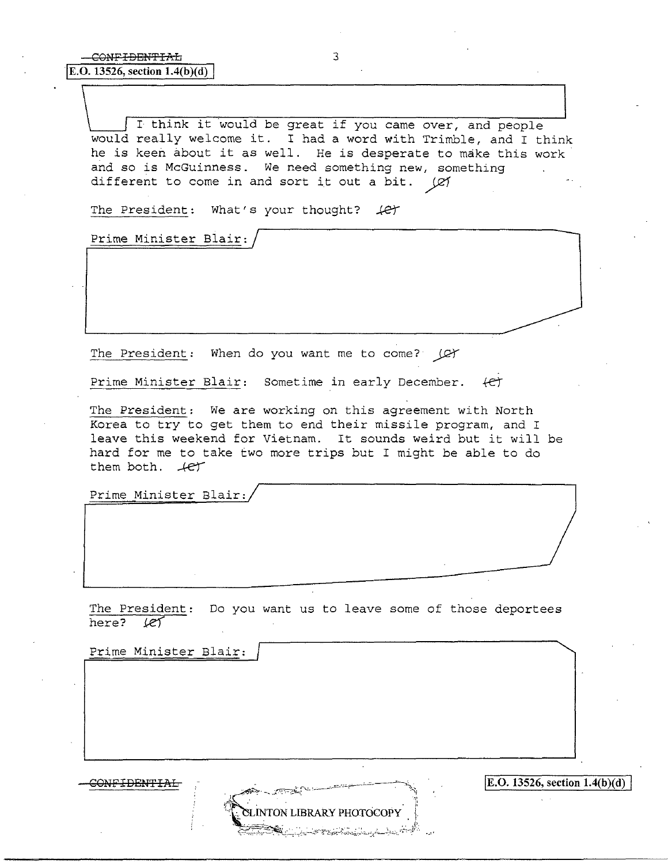I think it would be great if you came over, and people would really welcome it. I had a word with Trimble, and I think he is keen about it as well. He is desperate to make this work and so is McGuinness. We need something new, something different to come in and sort it out a bit. (Ø1

The President: What's your thought?  $#$ 

Prime Minister Blair:

The President: When do you want me to come? (C)

Prime Minister Blair: Sometime in early December. (et

The President: We are working on this agreement with North Korea to try to get them to end their missile program, and I leave this weekend for Vietnam. It sounds weird but it will be hard for me to take two more trips but I might be able to do them both.  $\mathcal{A}e\mathcal{T}$ 

Prime Minister Blair:

The President: Do you want us to leave some of those deportees here? let

Prime Minister Blair:

NTON LIBRARY PHOTOCOPY

COHFIDEN'fIAL **IE.O. 13526, section 1.4(b** )(d) I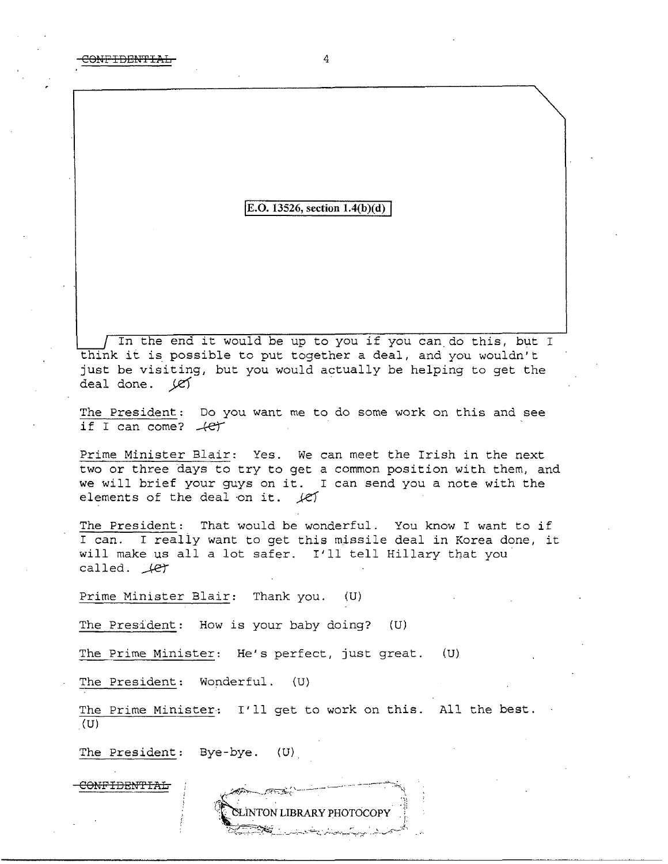### **[E.O. 13526, section 1.4(b)(d)**

In the end it would be up to *you* if *you* can do this, but I think it is possible to put together a deal, and you wouldn't just be visiting, but you would actually be helping to get the deal done. *je'f* ·

The President: Do you want me to do some work on this and see if I can come?  $+e^+$ 

Prime Minister Blair: Yes. We can meet the Irish in the next two or three days to try to get a common position with them, and we will brief your guys on it. I can send *you* a note with the elements of the deal on it.  $\sqrt{e}$ 

The President: That would be wonderful. You know I want to if I can. I really want to get this missile deal in Korea done, it will make us all a lot safer. I'll tell Hillary that you called.  $\mathcal{A}e\mathcal{A}$ 

Prime Minister Blair: Thank you. (U)

The President: How is your baby doing? (U)

The Prime Minister: He's perfect, just great. {U)

The President: Wonderful. (U)

The Prime Minister: I'll get to work on this. All the best. (U)

**ELINTON LIBRARY PHOTOCOPY** 

The President: Bye-bye. (U).

CONFIDBN'fIAL